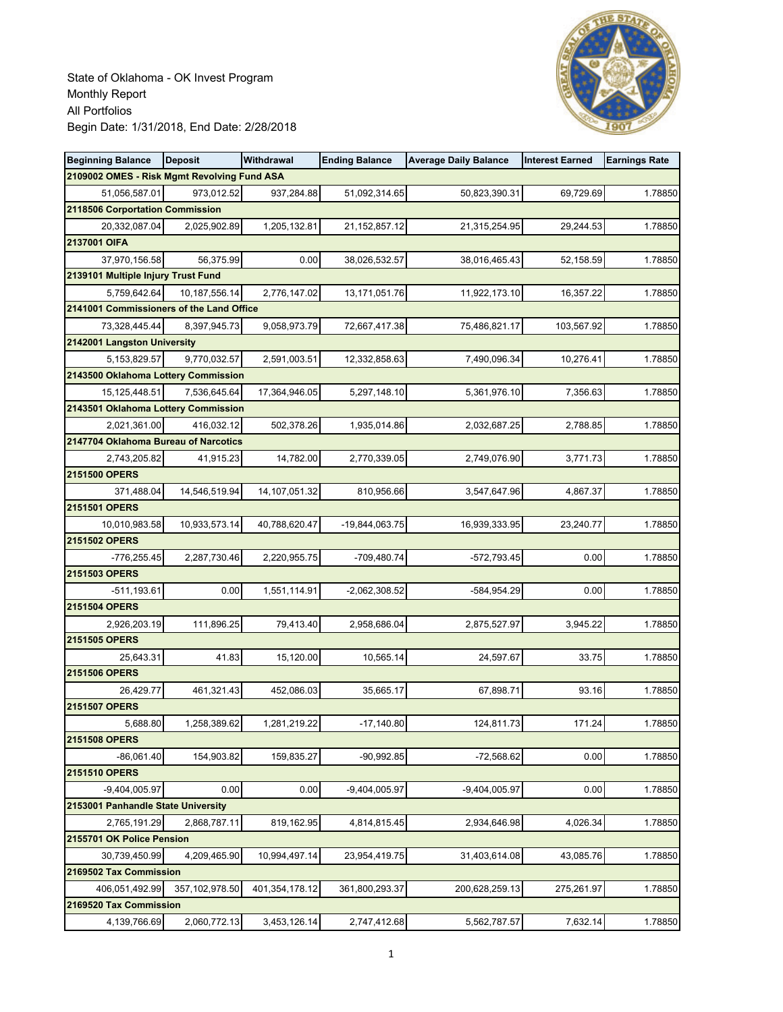

| <b>Beginning Balance</b>                    | <b>Deposit</b>   | Withdrawal     | <b>Ending Balance</b> | <b>Average Daily Balance</b> | <b>Interest Earned</b> | <b>Earnings Rate</b> |
|---------------------------------------------|------------------|----------------|-----------------------|------------------------------|------------------------|----------------------|
| 2109002 OMES - Risk Mgmt Revolving Fund ASA |                  |                |                       |                              |                        |                      |
| 51,056,587.01                               | 973,012.52       | 937,284.88     | 51,092,314.65         | 50,823,390.31                | 69,729.69              | 1.78850              |
| 2118506 Corportation Commission             |                  |                |                       |                              |                        |                      |
| 20,332,087.04                               | 2,025,902.89     | 1,205,132.81   | 21, 152, 857. 12      | 21,315,254.95                | 29,244.53              | 1.78850              |
| 2137001 OIFA                                |                  |                |                       |                              |                        |                      |
| 37,970,156.58                               | 56,375.99        | 0.00           | 38,026,532.57         | 38,016,465.43                | 52,158.59              | 1.78850              |
| 2139101 Multiple Injury Trust Fund          |                  |                |                       |                              |                        |                      |
| 5,759,642.64                                | 10,187,556.14    | 2,776,147.02   | 13,171,051.76         | 11,922,173.10                | 16,357.22              | 1.78850              |
| 2141001 Commissioners of the Land Office    |                  |                |                       |                              |                        |                      |
| 73,328,445.44                               | 8,397,945.73     | 9,058,973.79   | 72,667,417.38         | 75,486,821.17                | 103,567.92             | 1.78850              |
| 2142001 Langston University                 |                  |                |                       |                              |                        |                      |
| 5,153,829.57                                | 9,770,032.57     | 2,591,003.51   | 12,332,858.63         | 7,490,096.34                 | 10,276.41              | 1.78850              |
| 2143500 Oklahoma Lottery Commission         |                  |                |                       |                              |                        |                      |
| 15,125,448.51                               | 7,536,645.64     | 17,364,946.05  | 5,297,148.10          | 5,361,976.10                 | 7,356.63               | 1.78850              |
| 2143501 Oklahoma Lottery Commission         |                  |                |                       |                              |                        |                      |
| 2,021,361.00                                | 416,032.12       | 502,378.26     | 1,935,014.86          | 2,032,687.25                 | 2,788.85               | 1.78850              |
| 2147704 Oklahoma Bureau of Narcotics        |                  |                |                       |                              |                        |                      |
| 2,743,205.82                                | 41,915.23        | 14,782.00      | 2,770,339.05          | 2,749,076.90                 | 3,771.73               | 1.78850              |
| 2151500 OPERS                               |                  |                |                       |                              |                        |                      |
| 371,488.04                                  | 14,546,519.94    | 14,107,051.32  | 810,956.66            | 3,547,647.96                 | 4,867.37               | 1.78850              |
| 2151501 OPERS                               |                  |                |                       |                              |                        |                      |
| 10,010,983.58                               | 10,933,573.14    | 40,788,620.47  | -19,844,063.75        | 16,939,333.95                | 23,240.77              | 1.78850              |
| 2151502 OPERS                               | 2,287,730.46     | 2,220,955.75   | -709,480.74           | $-572,793.45$                | 0.00                   | 1.78850              |
| -776,255.45<br>2151503 OPERS                |                  |                |                       |                              |                        |                      |
| $-511,193.61$                               | 0.00             | 1,551,114.91   | $-2,062,308.52$       | -584,954.29                  | 0.00                   | 1.78850              |
| 2151504 OPERS                               |                  |                |                       |                              |                        |                      |
| 2,926,203.19                                | 111,896.25       | 79,413.40      | 2,958,686.04          | 2,875,527.97                 | 3,945.22               | 1.78850              |
| 2151505 OPERS                               |                  |                |                       |                              |                        |                      |
| 25,643.31                                   | 41.83            | 15,120.00      | 10,565.14             | 24,597.67                    | 33.75                  | 1.78850              |
| 2151506 OPERS                               |                  |                |                       |                              |                        |                      |
| 26,429.77                                   | 461,321.43       | 452,086.03     | 35,665.17             | 67,898.71                    | 93.16                  | 1.78850              |
| 2151507 OPERS                               |                  |                |                       |                              |                        |                      |
| 5,688.80                                    | 1,258,389.62     | 1,281,219.22   | $-17,140.80$          | 124,811.73                   | 171.24                 | 1.78850              |
| 2151508 OPERS                               |                  |                |                       |                              |                        |                      |
| $-86,061.40$                                | 154,903.82       | 159,835.27     | $-90,992.85$          | $-72,568.62$                 | 0.00                   | 1.78850              |
| 2151510 OPERS                               |                  |                |                       |                              |                        |                      |
| $-9,404,005.97$                             | 0.00             | 0.00           | $-9,404,005.97$       | -9,404,005.97                | 0.00                   | 1.78850              |
| 2153001 Panhandle State University          |                  |                |                       |                              |                        |                      |
| 2,765,191.29                                | 2,868,787.11     | 819,162.95     | 4,814,815.45          | 2,934,646.98                 | 4,026.34               | 1.78850              |
| 2155701 OK Police Pension                   |                  |                |                       |                              |                        |                      |
| 30,739,450.99                               | 4,209,465.90     | 10,994,497.14  | 23,954,419.75         | 31,403,614.08                | 43,085.76              | 1.78850              |
| 2169502 Tax Commission                      |                  |                |                       |                              |                        |                      |
| 406,051,492.99                              | 357, 102, 978.50 | 401,354,178.12 | 361,800,293.37        | 200,628,259.13               | 275,261.97             | 1.78850              |
| 2169520 Tax Commission                      |                  |                |                       |                              |                        |                      |
| 4,139,766.69                                | 2,060,772.13     | 3,453,126.14   | 2,747,412.68          | 5,562,787.57                 | 7,632.14               | 1.78850              |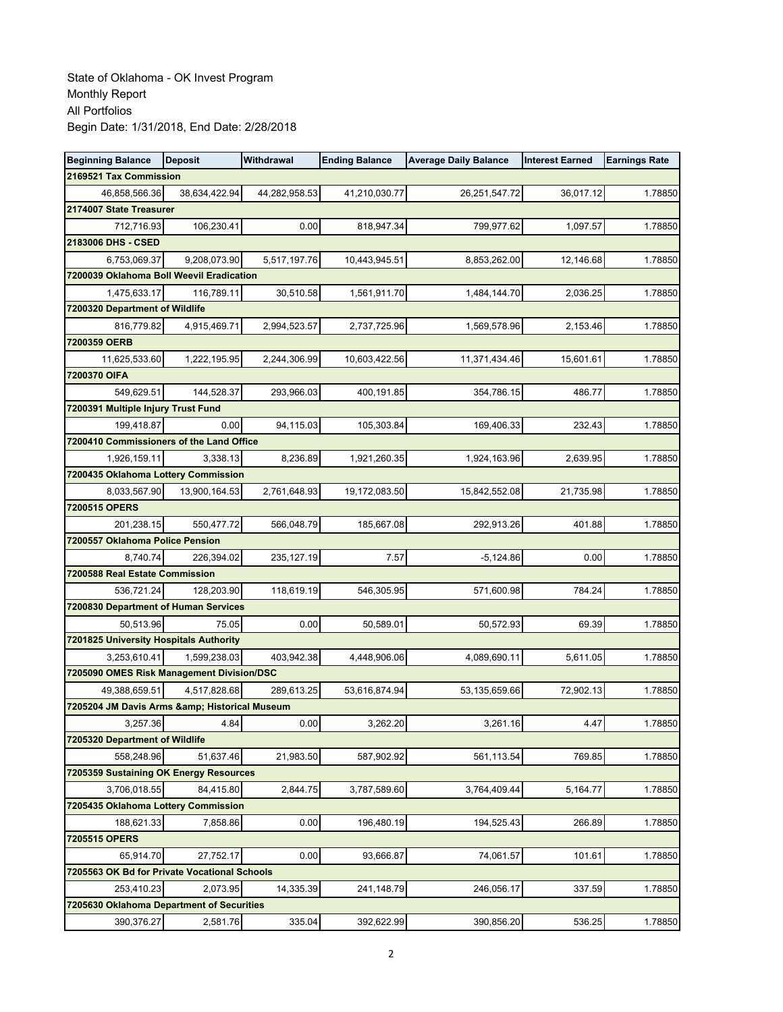| <b>Beginning Balance</b>                     | <b>Deposit</b> | Withdrawal    | <b>Ending Balance</b> | <b>Average Daily Balance</b> | <b>Interest Earned</b> | <b>Earnings Rate</b> |
|----------------------------------------------|----------------|---------------|-----------------------|------------------------------|------------------------|----------------------|
| 2169521 Tax Commission                       |                |               |                       |                              |                        |                      |
| 46,858,566.36                                | 38,634,422.94  | 44,282,958.53 | 41,210,030.77         | 26,251,547.72                | 36,017.12              | 1.78850              |
| 2174007 State Treasurer                      |                |               |                       |                              |                        |                      |
| 712,716.93                                   | 106,230.41     | 0.00          | 818,947.34            | 799,977.62                   | 1,097.57               | 1.78850              |
| 2183006 DHS - CSED                           |                |               |                       |                              |                        |                      |
| 6,753,069.37                                 | 9,208,073.90   | 5,517,197.76  | 10,443,945.51         | 8,853,262.00                 | 12,146.68              | 1.78850              |
| 7200039 Oklahoma Boll Weevil Eradication     |                |               |                       |                              |                        |                      |
| 1,475,633.17                                 | 116,789.11     | 30,510.58     | 1,561,911.70          | 1,484,144.70                 | 2,036.25               | 1.78850              |
| 7200320 Department of Wildlife               |                |               |                       |                              |                        |                      |
| 816,779.82                                   | 4,915,469.71   | 2,994,523.57  | 2,737,725.96          | 1,569,578.96                 | 2,153.46               | 1.78850              |
| 7200359 OERB                                 |                |               |                       |                              |                        |                      |
| 11,625,533.60                                | 1,222,195.95   | 2,244,306.99  | 10,603,422.56         | 11,371,434.46                | 15,601.61              | 1.78850              |
| 7200370 OIFA                                 |                |               |                       |                              |                        |                      |
| 549,629.51                                   | 144,528.37     | 293,966.03    | 400,191.85            | 354,786.15                   | 486.77                 | 1.78850              |
| 7200391 Multiple Injury Trust Fund           |                |               |                       |                              |                        |                      |
| 199,418.87                                   | 0.00           | 94,115.03     | 105,303.84            | 169,406.33                   | 232.43                 | 1.78850              |
| 7200410 Commissioners of the Land Office     |                |               |                       |                              |                        |                      |
| 1,926,159.11                                 | 3,338.13       | 8,236.89      | 1,921,260.35          | 1,924,163.96                 | 2,639.95               | 1.78850              |
| 7200435 Oklahoma Lottery Commission          |                |               |                       |                              |                        |                      |
| 8,033,567.90                                 | 13,900,164.53  | 2,761,648.93  | 19,172,083.50         | 15,842,552.08                | 21,735.98              | 1.78850              |
| 7200515 OPERS                                |                |               |                       |                              |                        |                      |
| 201,238.15                                   | 550,477.72     | 566,048.79    | 185,667.08            | 292,913.26                   | 401.88                 | 1.78850              |
| 7200557 Oklahoma Police Pension<br>8,740.74  | 226,394.02     | 235, 127. 19  | 7.57                  | $-5,124.86$                  | 0.00                   | 1.78850              |
| 7200588 Real Estate Commission               |                |               |                       |                              |                        |                      |
| 536,721.24                                   | 128,203.90     | 118,619.19    | 546,305.95            | 571,600.98                   | 784.24                 | 1.78850              |
| 7200830 Department of Human Services         |                |               |                       |                              |                        |                      |
| 50,513.96                                    | 75.05          | 0.00          | 50,589.01             | 50,572.93                    | 69.39                  | 1.78850              |
| 7201825 University Hospitals Authority       |                |               |                       |                              |                        |                      |
| 3,253,610.41                                 | 1,599,238.03   | 403,942.38    | 4,448,906.06          | 4,089,690.11                 | 5,611.05               | 1.78850              |
| 7205090 OMES Risk Management Division/DSC    |                |               |                       |                              |                        |                      |
| 49,388,659.51                                | 4,517,828.68   | 289,613.25    | 53,616,874.94         | 53,135,659.66                | 72,902.13              | 1.78850              |
| 7205204 JM Davis Arms & Historical Museum    |                |               |                       |                              |                        |                      |
| 3,257.36                                     | 4.84           | 0.00          | 3,262.20              | 3,261.16                     | 4.47                   | 1.78850              |
| 7205320 Department of Wildlife               |                |               |                       |                              |                        |                      |
| 558.248.96                                   | 51,637.46      | 21,983.50     | 587,902.92            | 561,113.54                   | 769.85                 | 1.78850              |
| 7205359 Sustaining OK Energy Resources       |                |               |                       |                              |                        |                      |
| 3,706,018.55                                 | 84,415.80      | 2,844.75      | 3,787,589.60          | 3,764,409.44                 | 5,164.77               | 1.78850              |
| 7205435 Oklahoma Lottery Commission          |                |               |                       |                              |                        |                      |
| 188,621.33                                   | 7,858.86       | 0.00          | 196,480.19            | 194,525.43                   | 266.89                 | 1.78850              |
| 7205515 OPERS                                |                |               |                       |                              |                        |                      |
| 65,914.70                                    | 27,752.17      | 0.00          | 93,666.87             | 74,061.57                    | 101.61                 | 1.78850              |
| 7205563 OK Bd for Private Vocational Schools |                |               |                       |                              |                        |                      |
| 253,410.23                                   | 2,073.95       | 14,335.39     | 241,148.79            | 246,056.17                   | 337.59                 | 1.78850              |
| 7205630 Oklahoma Department of Securities    |                |               |                       |                              |                        |                      |
| 390,376.27                                   | 2,581.76       | 335.04        | 392,622.99            | 390,856.20                   | 536.25                 | 1.78850              |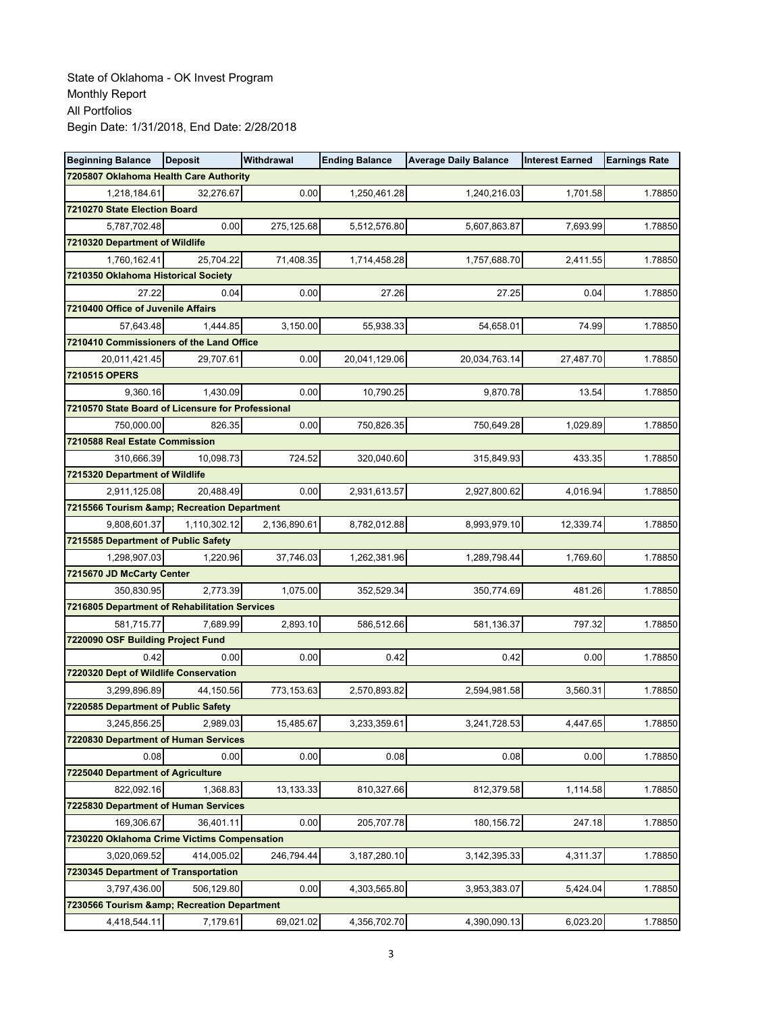| <b>Beginning Balance</b>                             | <b>Deposit</b> | Withdrawal   | <b>Ending Balance</b> | <b>Average Daily Balance</b> | <b>Interest Earned</b> | <b>Earnings Rate</b> |
|------------------------------------------------------|----------------|--------------|-----------------------|------------------------------|------------------------|----------------------|
| 7205807 Oklahoma Health Care Authority               |                |              |                       |                              |                        |                      |
| 1,218,184.61                                         | 32,276.67      | 0.00         | 1,250,461.28          | 1,240,216.03                 | 1,701.58               | 1.78850              |
| 7210270 State Election Board                         |                |              |                       |                              |                        |                      |
| 5,787,702.48                                         | 0.00           | 275,125.68   | 5,512,576.80          | 5,607,863.87                 | 7,693.99               | 1.78850              |
| 7210320 Department of Wildlife                       |                |              |                       |                              |                        |                      |
| 1,760,162.41                                         | 25,704.22      | 71,408.35    | 1,714,458.28          | 1,757,688.70                 | 2,411.55               | 1.78850              |
| 7210350 Oklahoma Historical Society                  |                |              |                       |                              |                        |                      |
| 27.22                                                | 0.04           | 0.00         | 27.26                 | 27.25                        | 0.04                   | 1.78850              |
| 7210400 Office of Juvenile Affairs                   |                |              |                       |                              |                        |                      |
| 57,643.48                                            | 1,444.85       | 3,150.00     | 55,938.33             | 54,658.01                    | 74.99                  | 1.78850              |
| 7210410 Commissioners of the Land Office             |                |              |                       |                              |                        |                      |
| 20,011,421.45                                        | 29,707.61      | 0.00         | 20,041,129.06         | 20,034,763.14                | 27,487.70              | 1.78850              |
| 7210515 OPERS                                        |                |              |                       |                              |                        |                      |
| 9,360.16                                             | 1,430.09       | 0.00         | 10,790.25             | 9,870.78                     | 13.54                  | 1.78850              |
| 7210570 State Board of Licensure for Professional    |                |              |                       |                              |                        |                      |
| 750.000.00                                           | 826.35         | 0.00         | 750,826.35            | 750,649.28                   | 1,029.89               | 1.78850              |
| 7210588 Real Estate Commission                       |                |              |                       |                              |                        |                      |
| 310,666.39                                           | 10,098.73      | 724.52       | 320,040.60            | 315,849.93                   | 433.35                 | 1.78850              |
| 7215320 Department of Wildlife                       |                |              |                       |                              |                        |                      |
| 2,911,125.08                                         | 20,488.49      | 0.00         | 2,931,613.57          | 2,927,800.62                 | 4,016.94               | 1.78850              |
| 7215566 Tourism & Recreation Department              |                |              |                       |                              |                        |                      |
| 9,808,601.37                                         | 1,110,302.12   | 2,136,890.61 | 8,782,012.88          | 8,993,979.10                 | 12,339.74              | 1.78850              |
| 7215585 Department of Public Safety                  |                |              |                       |                              |                        |                      |
| 1,298,907.03                                         | 1,220.96       | 37,746.03    | 1,262,381.96          | 1,289,798.44                 | 1,769.60               | 1.78850              |
| 7215670 JD McCarty Center                            |                |              |                       |                              |                        |                      |
| 350,830.95                                           | 2,773.39       | 1,075.00     | 352,529.34            | 350,774.69                   | 481.26                 | 1.78850              |
| 7216805 Department of Rehabilitation Services        |                |              |                       |                              |                        |                      |
| 581,715.77                                           | 7,689.99       | 2,893.10     | 586,512.66            | 581,136.37                   | 797.32                 | 1.78850              |
| 7220090 OSF Building Project Fund                    |                |              |                       |                              |                        |                      |
| 0.42                                                 | 0.00           | 0.00         | 0.42                  | 0.42                         | 0.00                   | 1.78850              |
| 7220320 Dept of Wildlife Conservation                |                |              |                       |                              |                        |                      |
| 3,299,896.89                                         | 44.150.56      | 773,153.63   | 2,570,893.82          | 2,594,981.58                 | 3,560.31               | 1.78850              |
| 7220585 Department of Public Safety                  |                |              | 3,233,359.61          |                              |                        |                      |
| 3,245,856.25<br>7220830 Department of Human Services | 2,989.03       | 15,485.67    |                       | 3,241,728.53                 | 4,447.65               | 1.78850              |
| 0.08                                                 | 0.00           | 0.00         | 0.08                  | 0.08                         | 0.00                   | 1.78850              |
| 7225040 Department of Agriculture                    |                |              |                       |                              |                        |                      |
| 822,092.16                                           | 1,368.83       | 13,133.33    | 810,327.66            | 812,379.58                   | 1,114.58               | 1.78850              |
| 7225830 Department of Human Services                 |                |              |                       |                              |                        |                      |
| 169,306.67                                           | 36,401.11      | 0.00         | 205,707.78            | 180, 156.72                  | 247.18                 | 1.78850              |
| 7230220 Oklahoma Crime Victims Compensation          |                |              |                       |                              |                        |                      |
| 3,020,069.52                                         | 414,005.02     | 246,794.44   | 3, 187, 280. 10       | 3, 142, 395. 33              | 4,311.37               | 1.78850              |
| 7230345 Department of Transportation                 |                |              |                       |                              |                        |                      |
| 3,797,436.00                                         | 506,129.80     | 0.00         | 4,303,565.80          | 3,953,383.07                 | 5,424.04               | 1.78850              |
| 7230566 Tourism & Recreation Department              |                |              |                       |                              |                        |                      |
| 4,418,544.11                                         | 7,179.61       | 69,021.02    | 4,356,702.70          | 4,390,090.13                 | 6,023.20               | 1.78850              |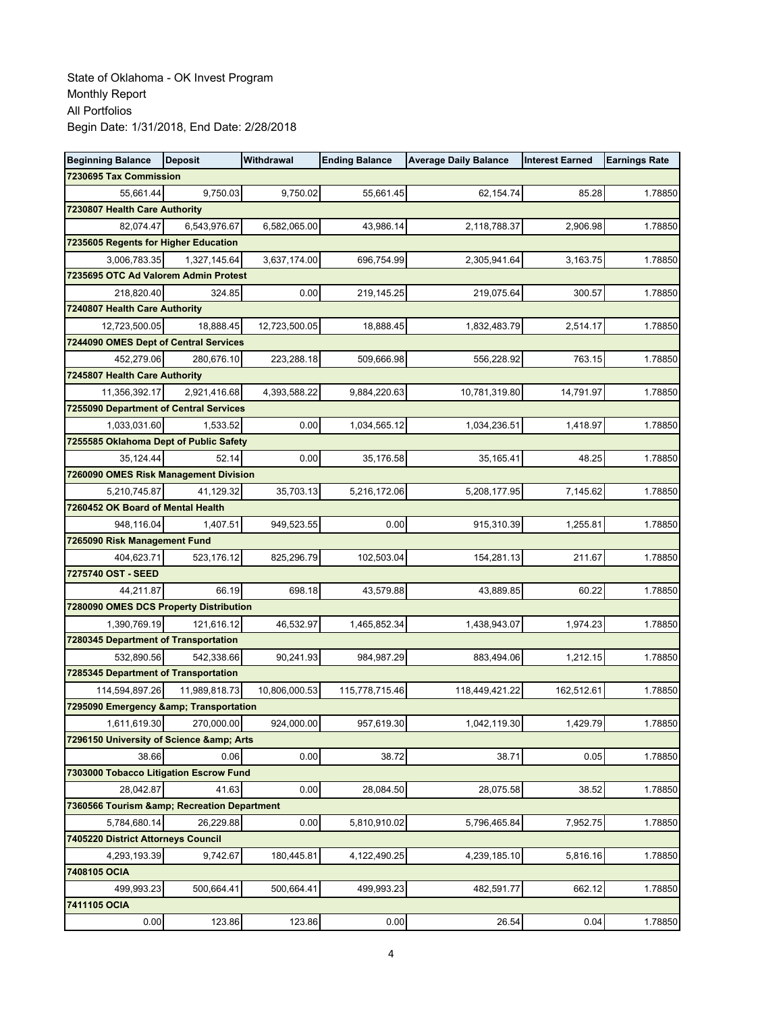| <b>Beginning Balance</b>                | <b>Deposit</b> | Withdrawal    | <b>Ending Balance</b> | <b>Average Daily Balance</b> | <b>Interest Earned</b> | <b>Earnings Rate</b> |
|-----------------------------------------|----------------|---------------|-----------------------|------------------------------|------------------------|----------------------|
| 7230695 Tax Commission                  |                |               |                       |                              |                        |                      |
| 55,661.44                               | 9,750.03       | 9,750.02      | 55,661.45             | 62,154.74                    | 85.28                  | 1.78850              |
| 7230807 Health Care Authority           |                |               |                       |                              |                        |                      |
| 82,074.47                               | 6,543,976.67   | 6,582,065.00  | 43,986.14             | 2,118,788.37                 | 2,906.98               | 1.78850              |
| 7235605 Regents for Higher Education    |                |               |                       |                              |                        |                      |
| 3,006,783.35                            | 1,327,145.64   | 3,637,174.00  | 696,754.99            | 2,305,941.64                 | 3,163.75               | 1.78850              |
| 7235695 OTC Ad Valorem Admin Protest    |                |               |                       |                              |                        |                      |
| 218,820.40                              | 324.85         | 0.00          | 219,145.25            | 219,075.64                   | 300.57                 | 1.78850              |
| 7240807 Health Care Authority           |                |               |                       |                              |                        |                      |
| 12,723,500.05                           | 18,888.45      | 12,723,500.05 | 18,888.45             | 1,832,483.79                 | 2,514.17               | 1.78850              |
| 7244090 OMES Dept of Central Services   |                |               |                       |                              |                        |                      |
| 452,279.06                              | 280,676.10     | 223,288.18    | 509,666.98            | 556,228.92                   | 763.15                 | 1.78850              |
| 7245807 Health Care Authority           |                |               |                       |                              |                        |                      |
| 11,356,392.17                           | 2,921,416.68   | 4,393,588.22  | 9,884,220.63          | 10,781,319.80                | 14,791.97              | 1.78850              |
| 7255090 Department of Central Services  |                |               |                       |                              |                        |                      |
| 1,033,031.60                            | 1,533.52       | 0.00          | 1,034,565.12          | 1,034,236.51                 | 1,418.97               | 1.78850              |
| 7255585 Oklahoma Dept of Public Safety  |                |               |                       |                              |                        |                      |
| 35.124.44                               | 52.14          | 0.00          | 35,176.58             | 35,165.41                    | 48.25                  | 1.78850              |
| 7260090 OMES Risk Management Division   |                |               |                       |                              |                        |                      |
| 5,210,745.87                            | 41,129.32      | 35,703.13     | 5,216,172.06          | 5,208,177.95                 | 7,145.62               | 1.78850              |
| 7260452 OK Board of Mental Health       |                |               |                       |                              |                        |                      |
| 948,116.04                              | 1,407.51       | 949,523.55    | 0.00                  | 915,310.39                   | 1,255.81               | 1.78850              |
| 7265090 Risk Management Fund            | 523,176.12     | 825,296.79    | 102,503.04            | 154,281.13                   | 211.67                 | 1.78850              |
| 404,623.71<br>7275740 OST - SEED        |                |               |                       |                              |                        |                      |
| 44,211.87                               | 66.19          | 698.18        | 43,579.88             | 43,889.85                    | 60.22                  | 1.78850              |
| 7280090 OMES DCS Property Distribution  |                |               |                       |                              |                        |                      |
| 1,390,769.19                            | 121,616.12     | 46,532.97     | 1,465,852.34          | 1,438,943.07                 | 1,974.23               | 1.78850              |
| 7280345 Department of Transportation    |                |               |                       |                              |                        |                      |
| 532,890.56                              | 542,338.66     | 90,241.93     | 984,987.29            | 883,494.06                   | 1,212.15               | 1.78850              |
| 7285345 Department of Transportation    |                |               |                       |                              |                        |                      |
| 114,594,897.26                          | 11,989,818.73  | 10,806,000.53 | 115,778,715.46        | 118,449,421.22               | 162,512.61             | 1.78850              |
| 7295090 Emergency & Transportation      |                |               |                       |                              |                        |                      |
| 1,611,619.30                            | 270,000.00     | 924,000.00    | 957,619.30            | 1,042,119.30                 | 1,429.79               | 1.78850              |
| 7296150 University of Science & Arts    |                |               |                       |                              |                        |                      |
| 38.66                                   | 0.06           | 0.00          | 38.72                 | 38.71                        | 0.05                   | 1.78850              |
| 7303000 Tobacco Litigation Escrow Fund  |                |               |                       |                              |                        |                      |
| 28,042.87                               | 41.63          | 0.00          | 28,084.50             | 28,075.58                    | 38.52                  | 1.78850              |
| 7360566 Tourism & Recreation Department |                |               |                       |                              |                        |                      |
| 5,784,680.14                            | 26,229.88      | 0.00          | 5,810,910.02          | 5,796,465.84                 | 7,952.75               | 1.78850              |
| 7405220 District Attorneys Council      |                |               |                       |                              |                        |                      |
| 4,293,193.39                            | 9,742.67       | 180,445.81    | 4,122,490.25          | 4,239,185.10                 | 5,816.16               | 1.78850              |
| 7408105 OCIA                            |                |               |                       |                              |                        |                      |
| 499,993.23                              | 500,664.41     | 500,664.41    | 499,993.23            | 482,591.77                   | 662.12                 | 1.78850              |
| 7411105 OCIA                            |                |               |                       |                              |                        |                      |
| 0.00                                    | 123.86         | 123.86        | 0.00                  | 26.54                        | 0.04                   | 1.78850              |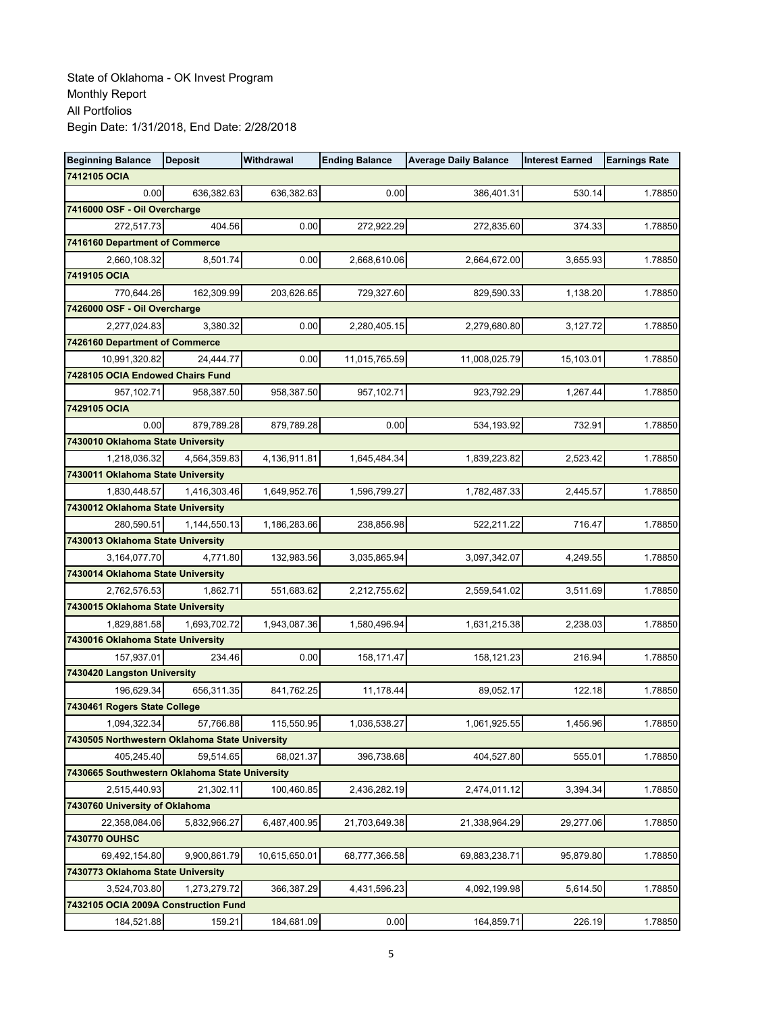| <b>Beginning Balance</b>                       | <b>Deposit</b> | Withdrawal    | <b>Ending Balance</b> | <b>Average Daily Balance</b> | <b>Interest Earned</b> | <b>Earnings Rate</b> |
|------------------------------------------------|----------------|---------------|-----------------------|------------------------------|------------------------|----------------------|
| 7412105 OCIA                                   |                |               |                       |                              |                        |                      |
| 0.00                                           | 636,382.63     | 636,382.63    | 0.00                  | 386,401.31                   | 530.14                 | 1.78850              |
| 7416000 OSF - Oil Overcharge                   |                |               |                       |                              |                        |                      |
| 272,517.73                                     | 404.56         | 0.00          | 272,922.29            | 272,835.60                   | 374.33                 | 1.78850              |
| 7416160 Department of Commerce                 |                |               |                       |                              |                        |                      |
| 2,660,108.32                                   | 8,501.74       | 0.00          | 2,668,610.06          | 2,664,672.00                 | 3,655.93               | 1.78850              |
| 7419105 OCIA                                   |                |               |                       |                              |                        |                      |
| 770,644.26                                     | 162,309.99     | 203,626.65    | 729,327.60            | 829,590.33                   | 1,138.20               | 1.78850              |
| 7426000 OSF - Oil Overcharge                   |                |               |                       |                              |                        |                      |
| 2,277,024.83                                   | 3,380.32       | 0.00          | 2,280,405.15          | 2,279,680.80                 | 3,127.72               | 1.78850              |
| 7426160 Department of Commerce                 |                |               |                       |                              |                        |                      |
| 10,991,320.82                                  | 24,444.77      | 0.00          | 11,015,765.59         | 11,008,025.79                | 15,103.01              | 1.78850              |
| 7428105 OCIA Endowed Chairs Fund               |                |               |                       |                              |                        |                      |
| 957, 102.71                                    | 958,387.50     | 958,387.50    | 957,102.71            | 923,792.29                   | 1,267.44               | 1.78850              |
| 7429105 OCIA                                   |                |               |                       |                              |                        |                      |
| 0.00                                           | 879,789.28     | 879,789.28    | 0.00                  | 534,193.92                   | 732.91                 | 1.78850              |
| 7430010 Oklahoma State University              |                |               |                       |                              |                        |                      |
| 1,218,036.32                                   | 4,564,359.83   | 4,136,911.81  | 1,645,484.34          | 1,839,223.82                 | 2,523.42               | 1.78850              |
| 7430011 Oklahoma State University              |                |               |                       |                              |                        |                      |
| 1,830,448.57                                   | 1,416,303.46   | 1,649,952.76  | 1,596,799.27          | 1,782,487.33                 | 2,445.57               | 1.78850              |
| 7430012 Oklahoma State University              |                |               |                       |                              |                        |                      |
| 280,590.51                                     | 1,144,550.13   | 1,186,283.66  | 238,856.98            | 522,211.22                   | 716.47                 | 1.78850              |
| 7430013 Oklahoma State University              |                |               |                       |                              |                        |                      |
| 3,164,077.70                                   | 4,771.80       | 132,983.56    | 3,035,865.94          | 3,097,342.07                 | 4,249.55               | 1.78850              |
| 7430014 Oklahoma State University              |                |               |                       |                              |                        |                      |
| 2,762,576.53                                   | 1,862.71       | 551,683.62    | 2,212,755.62          | 2,559,541.02                 | 3,511.69               | 1.78850              |
| 7430015 Oklahoma State University              |                |               |                       |                              |                        |                      |
| 1,829,881.58                                   | 1,693,702.72   | 1,943,087.36  | 1,580,496.94          | 1,631,215.38                 | 2,238.03               | 1.78850              |
| 7430016 Oklahoma State University              |                |               |                       |                              |                        |                      |
| 157,937.01<br>7430420 Langston University      | 234.46         | 0.00          | 158,171.47            | 158,121.23                   | 216.94                 | 1.78850              |
| 196.629.34                                     | 656,311.35     | 841,762.25    | 11,178.44             | 89,052.17                    | 122.18                 | 1.78850              |
| 7430461 Rogers State College                   |                |               |                       |                              |                        |                      |
| 1,094,322.34                                   | 57,766.88      | 115,550.95    | 1,036,538.27          | 1,061,925.55                 | 1,456.96               | 1.78850              |
| 7430505 Northwestern Oklahoma State University |                |               |                       |                              |                        |                      |
| 405.245.40                                     | 59,514.65      | 68,021.37     | 396,738.68            | 404,527.80                   | 555.01                 | 1.78850              |
| 7430665 Southwestern Oklahoma State University |                |               |                       |                              |                        |                      |
| 2,515,440.93                                   | 21,302.11      | 100,460.85    | 2,436,282.19          | 2,474,011.12                 | 3,394.34               | 1.78850              |
| 7430760 University of Oklahoma                 |                |               |                       |                              |                        |                      |
| 22,358,084.06                                  | 5,832,966.27   | 6,487,400.95  | 21,703,649.38         | 21,338,964.29                | 29,277.06              | 1.78850              |
| 7430770 OUHSC                                  |                |               |                       |                              |                        |                      |
| 69,492,154.80                                  | 9,900,861.79   | 10,615,650.01 | 68,777,366.58         | 69,883,238.71                | 95,879.80              | 1.78850              |
| 7430773 Oklahoma State University              |                |               |                       |                              |                        |                      |
| 3,524,703.80                                   | 1,273,279.72   | 366,387.29    | 4,431,596.23          | 4,092,199.98                 | 5,614.50               | 1.78850              |
| 7432105 OCIA 2009A Construction Fund           |                |               |                       |                              |                        |                      |
| 184,521.88                                     | 159.21         | 184,681.09    | 0.00                  | 164,859.71                   | 226.19                 | 1.78850              |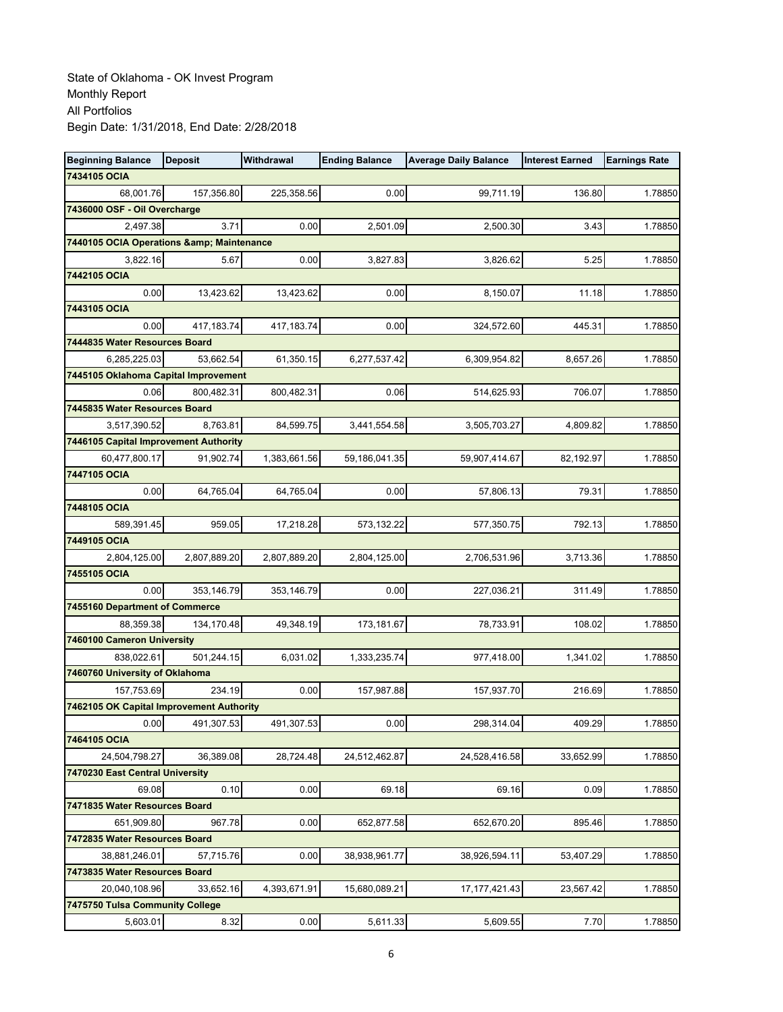| <b>Beginning Balance</b>                 | <b>Deposit</b> | Withdrawal   | <b>Ending Balance</b> | <b>Average Daily Balance</b> | <b>Interest Earned</b> | <b>Earnings Rate</b> |
|------------------------------------------|----------------|--------------|-----------------------|------------------------------|------------------------|----------------------|
| 7434105 OCIA                             |                |              |                       |                              |                        |                      |
| 68,001.76                                | 157,356.80     | 225,358.56   | 0.00                  | 99,711.19                    | 136.80                 | 1.78850              |
| 7436000 OSF - Oil Overcharge             |                |              |                       |                              |                        |                      |
| 2,497.38                                 | 3.71           | 0.00         | 2,501.09              | 2,500.30                     | 3.43                   | 1.78850              |
| 7440105 OCIA Operations & Maintenance    |                |              |                       |                              |                        |                      |
| 3,822.16                                 | 5.67           | 0.00         | 3,827.83              | 3,826.62                     | 5.25                   | 1.78850              |
| 7442105 OCIA                             |                |              |                       |                              |                        |                      |
| 0.00                                     | 13,423.62      | 13,423.62    | 0.00                  | 8,150.07                     | 11.18                  | 1.78850              |
| 7443105 OCIA                             |                |              |                       |                              |                        |                      |
| 0.00                                     | 417,183.74     | 417, 183.74  | 0.00                  | 324,572.60                   | 445.31                 | 1.78850              |
| 7444835 Water Resources Board            |                |              |                       |                              |                        |                      |
| 6,285,225.03                             | 53,662.54      | 61,350.15    | 6,277,537.42          | 6,309,954.82                 | 8,657.26               | 1.78850              |
| 7445105 Oklahoma Capital Improvement     |                |              |                       |                              |                        |                      |
| 0.06                                     | 800,482.31     | 800,482.31   | 0.06                  | 514,625.93                   | 706.07                 | 1.78850              |
| 7445835 Water Resources Board            |                |              |                       |                              |                        |                      |
| 3,517,390.52                             | 8.763.81       | 84,599.75    | 3,441,554.58          | 3,505,703.27                 | 4,809.82               | 1.78850              |
| 7446105 Capital Improvement Authority    |                |              |                       |                              |                        |                      |
| 60,477,800.17                            | 91,902.74      | 1,383,661.56 | 59,186,041.35         | 59,907,414.67                | 82,192.97              | 1.78850              |
| 7447105 OCIA                             |                |              |                       |                              |                        |                      |
| 0.00                                     | 64,765.04      | 64,765.04    | 0.00                  | 57,806.13                    | 79.31                  | 1.78850              |
| 7448105 OCIA<br>589,391.45               | 959.05         | 17,218.28    | 573,132.22            |                              | 792.13                 |                      |
| 7449105 OCIA                             |                |              |                       | 577,350.75                   |                        | 1.78850              |
| 2,804,125.00                             | 2,807,889.20   | 2,807,889.20 | 2,804,125.00          | 2,706,531.96                 | 3,713.36               | 1.78850              |
| 7455105 OCIA                             |                |              |                       |                              |                        |                      |
| 0.00                                     | 353,146.79     | 353,146.79   | 0.00                  | 227,036.21                   | 311.49                 | 1.78850              |
| 7455160 Department of Commerce           |                |              |                       |                              |                        |                      |
| 88,359.38                                | 134,170.48     | 49,348.19    | 173,181.67            | 78,733.91                    | 108.02                 | 1.78850              |
| 7460100 Cameron University               |                |              |                       |                              |                        |                      |
| 838,022.61                               | 501,244.15     | 6,031.02     | 1,333,235.74          | 977,418.00                   | 1,341.02               | 1.78850              |
| 7460760 University of Oklahoma           |                |              |                       |                              |                        |                      |
| 157,753.69                               | 234.19         | 0.00         | 157,987.88            | 157,937.70                   | 216.69                 | 1.78850              |
| 7462105 OK Capital Improvement Authority |                |              |                       |                              |                        |                      |
| 0.00                                     | 491,307.53     | 491,307.53   | 0.00                  | 298,314.04                   | 409.29                 | 1.78850              |
| 7464105 OCIA                             |                |              |                       |                              |                        |                      |
| 24,504,798.27                            | 36,389.08      | 28,724.48    | 24,512,462.87         | 24,528,416.58                | 33,652.99              | 1.78850              |
| 7470230 East Central University          |                |              |                       |                              |                        |                      |
| 69.08                                    | 0.10           | 0.00         | 69.18                 | 69.16                        | 0.09                   | 1.78850              |
| 7471835 Water Resources Board            |                |              |                       |                              |                        |                      |
| 651,909.80                               | 967.78         | 0.00         | 652,877.58            | 652,670.20                   | 895.46                 | 1.78850              |
| 7472835 Water Resources Board            |                |              |                       |                              |                        |                      |
| 38,881,246.01                            | 57,715.76      | 0.00         | 38,938,961.77         | 38,926,594.11                | 53,407.29              | 1.78850              |
| 7473835 Water Resources Board            |                |              |                       |                              |                        |                      |
| 20,040,108.96                            | 33,652.16      | 4,393,671.91 | 15,680,089.21         | 17, 177, 421.43              | 23,567.42              | 1.78850              |
| 7475750 Tulsa Community College          |                |              |                       |                              |                        |                      |
| 5,603.01                                 | 8.32           | 0.00         | 5,611.33              | 5,609.55                     | 7.70                   | 1.78850              |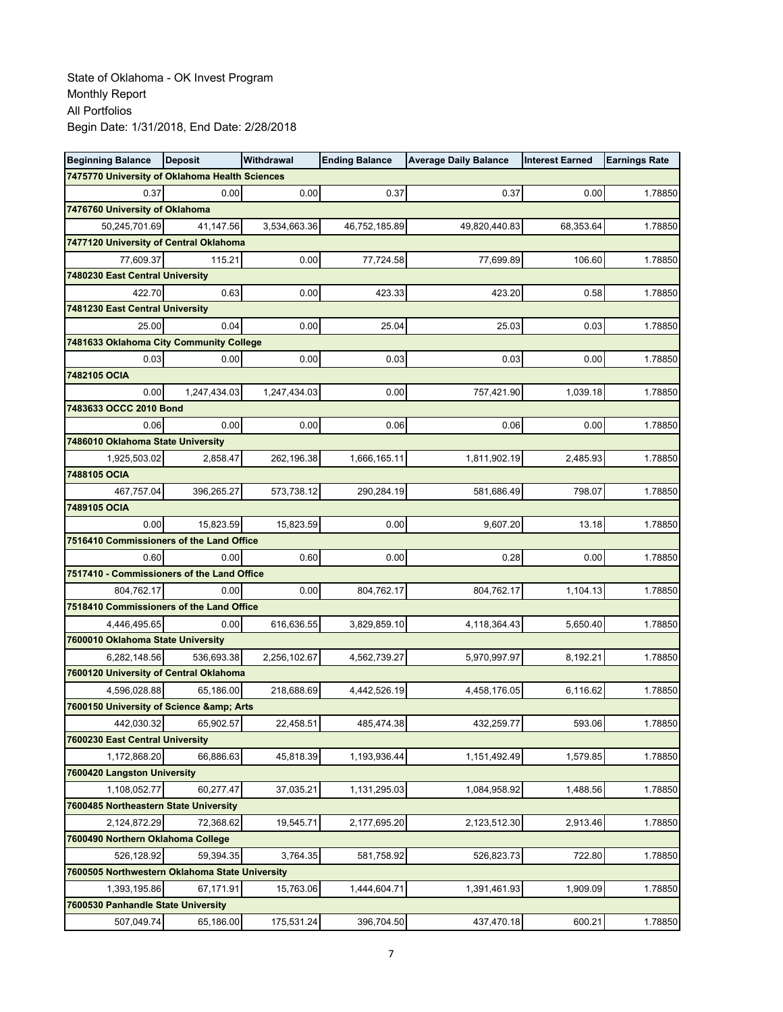| <b>Beginning Balance</b>                       | <b>Deposit</b> | Withdrawal   | <b>Ending Balance</b> | <b>Average Daily Balance</b> | <b>Interest Earned</b> | <b>Earnings Rate</b> |
|------------------------------------------------|----------------|--------------|-----------------------|------------------------------|------------------------|----------------------|
| 7475770 University of Oklahoma Health Sciences |                |              |                       |                              |                        |                      |
| 0.37                                           | 0.00           | 0.00         | 0.37                  | 0.37                         | 0.00                   | 1.78850              |
| 7476760 University of Oklahoma                 |                |              |                       |                              |                        |                      |
| 50,245,701.69                                  | 41,147.56      | 3,534,663.36 | 46,752,185.89         | 49,820,440.83                | 68,353.64              | 1.78850              |
| 7477120 University of Central Oklahoma         |                |              |                       |                              |                        |                      |
| 77,609.37                                      | 115.21         | 0.00         | 77,724.58             | 77,699.89                    | 106.60                 | 1.78850              |
| 7480230 East Central University                |                |              |                       |                              |                        |                      |
| 422.70                                         | 0.63           | 0.00         | 423.33                | 423.20                       | 0.58                   | 1.78850              |
| 7481230 East Central University                |                |              |                       |                              |                        |                      |
| 25.00                                          | 0.04           | 0.00         | 25.04                 | 25.03                        | 0.03                   | 1.78850              |
| 7481633 Oklahoma City Community College        |                |              |                       |                              |                        |                      |
| 0.03                                           | 0.00           | 0.00         | 0.03                  | 0.03                         | 0.00                   | 1.78850              |
| 7482105 OCIA                                   |                |              |                       |                              |                        |                      |
| 0.00                                           | 1,247,434.03   | 1,247,434.03 | 0.00                  | 757,421.90                   | 1,039.18               | 1.78850              |
| 7483633 OCCC 2010 Bond                         |                |              |                       |                              |                        |                      |
| 0.06                                           | 0.00           | 0.00         | 0.06                  | 0.06                         | 0.00                   | 1.78850              |
| 7486010 Oklahoma State University              |                |              |                       |                              |                        |                      |
| 1,925,503.02                                   | 2,858.47       | 262,196.38   | 1,666,165.11          | 1,811,902.19                 | 2,485.93               | 1.78850              |
| 7488105 OCIA                                   |                |              |                       |                              |                        |                      |
| 467,757.04                                     | 396,265.27     | 573,738.12   | 290,284.19            | 581,686.49                   | 798.07                 | 1.78850              |
| 7489105 OCIA                                   |                |              |                       |                              |                        |                      |
| 0.00                                           | 15,823.59      | 15,823.59    | 0.00                  | 9,607.20                     | 13.18                  | 1.78850              |
| 7516410 Commissioners of the Land Office       |                |              |                       |                              |                        |                      |
| 0.60                                           | 0.00           | 0.60         | 0.00                  | 0.28                         | 0.00                   | 1.78850              |
| 7517410 - Commissioners of the Land Office     |                |              |                       |                              |                        |                      |
| 804,762.17                                     | 0.00           | 0.00         | 804,762.17            | 804,762.17                   | 1,104.13               | 1.78850              |
| 7518410 Commissioners of the Land Office       |                |              |                       |                              |                        |                      |
| 4,446,495.65                                   | 0.00           | 616,636.55   | 3,829,859.10          | 4,118,364.43                 | 5,650.40               | 1.78850              |
| 7600010 Oklahoma State University              |                |              |                       |                              |                        |                      |
| 6,282,148.56                                   | 536,693.38     | 2,256,102.67 | 4,562,739.27          | 5,970,997.97                 | 8,192.21               | 1.78850              |
| 7600120 University of Central Oklahoma         |                |              |                       |                              |                        |                      |
| 4,596,028.88                                   | 65,186.00      | 218,688.69   | 4,442,526.19          | 4,458,176.05                 | 6,116.62               | 1.78850              |
| 7600150 University of Science & Arts           |                |              |                       |                              |                        |                      |
| 442,030.32<br>7600230 East Central University  | 65,902.57      | 22,458.51    | 485,474.38            | 432,259.77                   | 593.06                 | 1.78850              |
| 1,172,868.20                                   | 66,886.63      | 45,818.39    | 1,193,936.44          | 1,151,492.49                 | 1,579.85               | 1.78850              |
| 7600420 Langston University                    |                |              |                       |                              |                        |                      |
| 1,108,052.77                                   | 60,277.47      | 37,035.21    | 1,131,295.03          | 1,084,958.92                 | 1,488.56               | 1.78850              |
| 7600485 Northeastern State University          |                |              |                       |                              |                        |                      |
| 2,124,872.29                                   | 72,368.62      | 19,545.71    |                       |                              |                        | 1.78850              |
| 7600490 Northern Oklahoma College              |                |              | 2,177,695.20          | 2,123,512.30                 | 2,913.46               |                      |
| 526,128.92                                     | 59,394.35      | 3,764.35     | 581,758.92            | 526,823.73                   | 722.80                 | 1.78850              |
| 7600505 Northwestern Oklahoma State University |                |              |                       |                              |                        |                      |
| 1,393,195.86                                   | 67,171.91      | 15,763.06    | 1,444,604.71          | 1,391,461.93                 | 1,909.09               | 1.78850              |
| 7600530 Panhandle State University             |                |              |                       |                              |                        |                      |
| 507,049.74                                     | 65,186.00      | 175,531.24   | 396,704.50            | 437,470.18                   | 600.21                 | 1.78850              |
|                                                |                |              |                       |                              |                        |                      |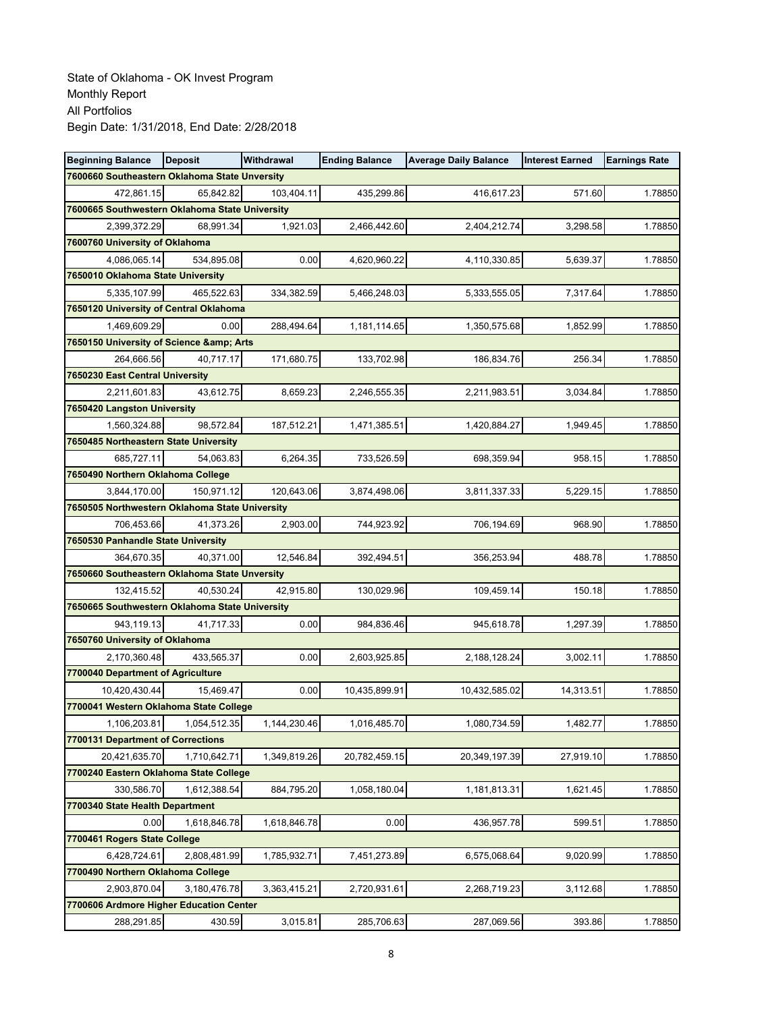| <b>Beginning Balance</b>                                | <b>Deposit</b> | Withdrawal   | <b>Ending Balance</b> | <b>Average Daily Balance</b> | <b>Interest Earned</b> | <b>Earnings Rate</b> |
|---------------------------------------------------------|----------------|--------------|-----------------------|------------------------------|------------------------|----------------------|
| 7600660 Southeastern Oklahoma State Unversity           |                |              |                       |                              |                        |                      |
| 472,861.15                                              | 65,842.82      | 103,404.11   | 435,299.86            | 416,617.23                   | 571.60                 | 1.78850              |
| 7600665 Southwestern Oklahoma State University          |                |              |                       |                              |                        |                      |
| 2,399,372.29                                            | 68,991.34      | 1,921.03     | 2,466,442.60          | 2,404,212.74                 | 3,298.58               | 1.78850              |
| 7600760 University of Oklahoma                          |                |              |                       |                              |                        |                      |
| 4,086,065.14                                            | 534,895.08     | 0.00         | 4,620,960.22          | 4,110,330.85                 | 5,639.37               | 1.78850              |
| 7650010 Oklahoma State University                       |                |              |                       |                              |                        |                      |
| 5,335,107.99                                            | 465,522.63     | 334,382.59   | 5,466,248.03          | 5,333,555.05                 | 7,317.64               | 1.78850              |
| 7650120 University of Central Oklahoma                  |                |              |                       |                              |                        |                      |
| 1,469,609.29                                            | 0.00           | 288,494.64   | 1,181,114.65          | 1,350,575.68                 | 1,852.99               | 1.78850              |
| 7650150 University of Science & Arts                    |                |              |                       |                              |                        |                      |
| 264,666.56                                              | 40,717.17      | 171,680.75   | 133,702.98            | 186,834.76                   | 256.34                 | 1.78850              |
| 7650230 East Central University                         |                |              |                       |                              |                        |                      |
| 2,211,601.83                                            | 43,612.75      | 8,659.23     | 2,246,555.35          | 2,211,983.51                 | 3,034.84               | 1.78850              |
| 7650420 Langston University                             |                |              |                       |                              |                        |                      |
| 1,560,324.88                                            | 98,572.84      | 187,512.21   | 1,471,385.51          | 1,420,884.27                 | 1,949.45               | 1.78850              |
| 7650485 Northeastern State University                   |                |              |                       |                              |                        |                      |
| 685,727.11                                              | 54,063.83      | 6,264.35     | 733,526.59            | 698,359.94                   | 958.15                 | 1.78850              |
| 7650490 Northern Oklahoma College                       |                |              |                       |                              |                        |                      |
| 3,844,170.00                                            | 150,971.12     | 120,643.06   | 3,874,498.06          | 3,811,337.33                 | 5,229.15               | 1.78850              |
| 7650505 Northwestern Oklahoma State University          |                |              |                       |                              |                        |                      |
| 706,453.66                                              | 41,373.26      | 2,903.00     | 744,923.92            | 706,194.69                   | 968.90                 | 1.78850              |
| 7650530 Panhandle State University                      |                |              |                       |                              |                        |                      |
| 364,670.35                                              | 40,371.00      | 12,546.84    | 392,494.51            | 356,253.94                   | 488.78                 | 1.78850              |
| 7650660 Southeastern Oklahoma State Unversity           |                |              |                       |                              |                        |                      |
| 132,415.52                                              | 40,530.24      | 42,915.80    | 130,029.96            | 109,459.14                   | 150.18                 | 1.78850              |
| 7650665 Southwestern Oklahoma State University          |                |              |                       |                              |                        |                      |
| 943,119.13                                              | 41,717.33      | 0.00         | 984,836.46            | 945,618.78                   | 1,297.39               | 1.78850              |
| 7650760 University of Oklahoma                          |                |              |                       |                              |                        |                      |
| 2,170,360.48                                            | 433,565.37     | 0.00         | 2,603,925.85          | 2,188,128.24                 | 3,002.11               | 1.78850              |
| 7700040 Department of Agriculture                       |                |              |                       |                              |                        |                      |
| 10,420,430.44<br>7700041 Western Oklahoma State College | 15,469.47      | 0.00         | 10,435,899.91         | 10,432,585.02                | 14,313.51              | 1.78850              |
| 1,106,203.81                                            | 1,054,512.35   | 1,144,230.46 | 1,016,485.70          | 1,080,734.59                 | 1,482.77               | 1.78850              |
| 7700131 Department of Corrections                       |                |              |                       |                              |                        |                      |
| 20.421.635.70                                           | 1,710,642.71   | 1,349,819.26 | 20,782,459.15         | 20,349,197.39                | 27,919.10              | 1.78850              |
| 7700240 Eastern Oklahoma State College                  |                |              |                       |                              |                        |                      |
| 330,586.70                                              | 1,612,388.54   | 884,795.20   | 1,058,180.04          | 1,181,813.31                 | 1,621.45               | 1.78850              |
| 7700340 State Health Department                         |                |              |                       |                              |                        |                      |
| 0.00                                                    | 1,618,846.78   | 1,618,846.78 | 0.00                  | 436,957.78                   | 599.51                 | 1.78850              |
| 7700461 Rogers State College                            |                |              |                       |                              |                        |                      |
| 6,428,724.61                                            | 2,808,481.99   | 1,785,932.71 | 7,451,273.89          | 6,575,068.64                 | 9,020.99               | 1.78850              |
| 7700490 Northern Oklahoma College                       |                |              |                       |                              |                        |                      |
| 2,903,870.04                                            | 3,180,476.78   | 3,363,415.21 | 2,720,931.61          | 2,268,719.23                 | 3,112.68               | 1.78850              |
| 7700606 Ardmore Higher Education Center                 |                |              |                       |                              |                        |                      |
| 288,291.85                                              | 430.59         | 3,015.81     | 285,706.63            | 287,069.56                   | 393.86                 | 1.78850              |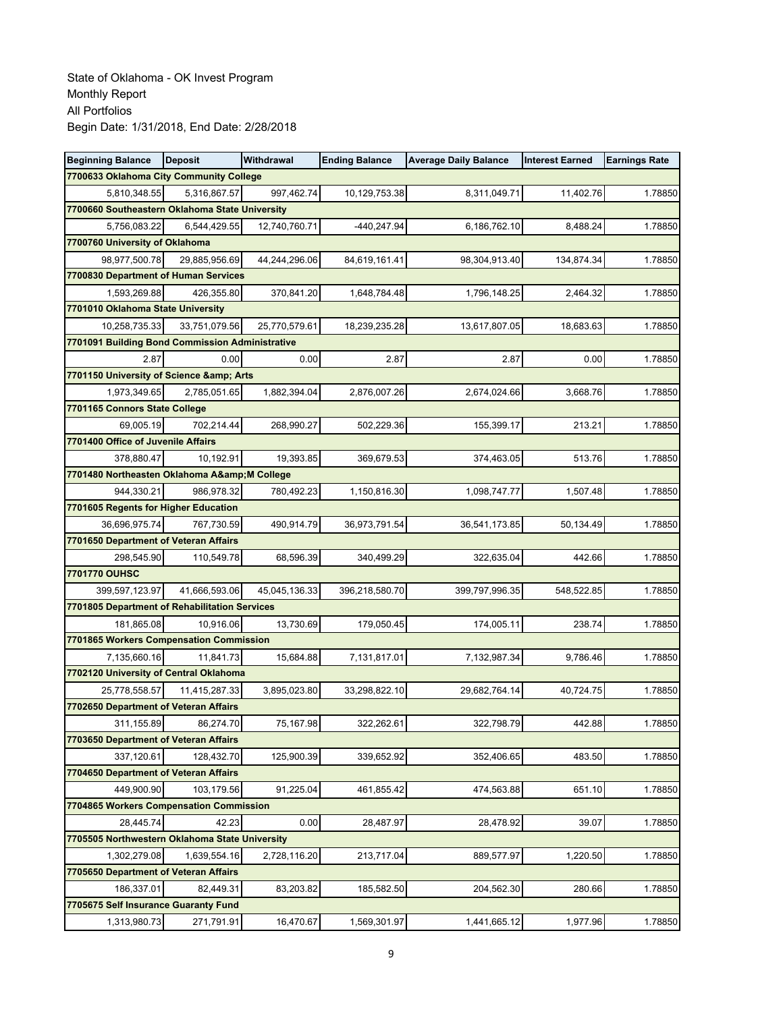| <b>Beginning Balance</b>                                    | <b>Deposit</b> | <b>Withdrawal</b> | <b>Ending Balance</b> | <b>Average Daily Balance</b> | <b>Interest Earned</b> | <b>Earnings Rate</b> |
|-------------------------------------------------------------|----------------|-------------------|-----------------------|------------------------------|------------------------|----------------------|
| 7700633 Oklahoma City Community College                     |                |                   |                       |                              |                        |                      |
| 5,810,348.55                                                | 5,316,867.57   | 997,462.74        | 10,129,753.38         | 8,311,049.71                 | 11,402.76              | 1.78850              |
| 7700660 Southeastern Oklahoma State University              |                |                   |                       |                              |                        |                      |
| 5,756,083.22                                                | 6,544,429.55   | 12,740,760.71     | -440,247.94           | 6,186,762.10                 | 8.488.24               | 1.78850              |
| 7700760 University of Oklahoma                              |                |                   |                       |                              |                        |                      |
| 98,977,500.78                                               | 29,885,956.69  | 44,244,296.06     | 84,619,161.41         | 98,304,913.40                | 134,874.34             | 1.78850              |
| 7700830 Department of Human Services                        |                |                   |                       |                              |                        |                      |
| 1,593,269.88                                                | 426,355.80     | 370,841.20        | 1,648,784.48          | 1,796,148.25                 | 2,464.32               | 1.78850              |
| 7701010 Oklahoma State University                           |                |                   |                       |                              |                        |                      |
| 10,258,735.33                                               | 33,751,079.56  | 25,770,579.61     | 18,239,235.28         | 13,617,807.05                | 18,683.63              | 1.78850              |
| 7701091 Building Bond Commission Administrative             |                |                   |                       |                              |                        |                      |
| 2.87                                                        | 0.00           | 0.00              | 2.87                  | 2.87                         | 0.00                   | 1.78850              |
| 7701150 University of Science & Arts                        |                |                   |                       |                              |                        |                      |
| 1,973,349.65                                                | 2,785,051.65   | 1,882,394.04      | 2,876,007.26          | 2,674,024.66                 | 3,668.76               | 1.78850              |
| 7701165 Connors State College                               |                |                   |                       |                              |                        |                      |
| 69,005.19                                                   | 702,214.44     | 268,990.27        | 502,229.36            | 155,399.17                   | 213.21                 | 1.78850              |
| 7701400 Office of Juvenile Affairs                          |                |                   |                       |                              |                        |                      |
| 378,880.47                                                  | 10,192.91      | 19.393.85         | 369,679.53            | 374,463.05                   | 513.76                 | 1.78850              |
| 7701480 Northeasten Oklahoma A& M College                   |                |                   |                       |                              |                        |                      |
| 944,330.21                                                  | 986,978.32     | 780,492.23        | 1,150,816.30          | 1,098,747.77                 | 1,507.48               | 1.78850              |
| 7701605 Regents for Higher Education                        |                |                   |                       |                              |                        |                      |
| 36,696,975.74                                               | 767,730.59     | 490,914.79        | 36,973,791.54         | 36,541,173.85                | 50,134.49              | 1.78850              |
| 7701650 Department of Veteran Affairs                       |                |                   |                       |                              |                        |                      |
| 298,545.90                                                  | 110,549.78     | 68,596.39         | 340,499.29            | 322,635.04                   | 442.66                 | 1.78850              |
| 7701770 OUHSC                                               |                |                   |                       |                              |                        |                      |
| 399,597,123.97                                              | 41,666,593.06  | 45,045,136.33     | 396,218,580.70        | 399,797,996.35               | 548,522.85             | 1.78850              |
| 7701805 Department of Rehabilitation Services               |                |                   |                       |                              |                        |                      |
| 181,865.08                                                  | 10,916.06      | 13,730.69         | 179,050.45            | 174,005.11                   | 238.74                 | 1.78850              |
| 7701865 Workers Compensation Commission                     |                |                   |                       |                              |                        |                      |
| 7,135,660.16                                                | 11,841.73      | 15,684.88         | 7,131,817.01          | 7,132,987.34                 | 9,786.46               | 1.78850              |
| 7702120 University of Central Oklahoma                      |                |                   |                       |                              |                        |                      |
| 25,778,558.57                                               | 11,415,287.33  | 3,895,023.80      | 33,298,822.10         | 29,682,764.14                | 40,724.75              | 1.78850              |
| 7702650 Department of Veteran Affairs                       |                |                   |                       |                              |                        |                      |
| 311,155.89                                                  | 86,274.70      | 75,167.98         | 322,262.61            | 322,798.79                   | 442.88                 | 1.78850              |
| 7703650 Department of Veteran Affairs                       |                |                   |                       |                              |                        |                      |
| 337,120.61                                                  | 128,432.70     | 125,900.39        | 339,652.92            | 352,406.65                   | 483.50                 | 1.78850              |
| 7704650 Department of Veteran Affairs                       |                |                   |                       |                              |                        |                      |
| 449,900.90                                                  | 103,179.56     | 91,225.04         | 461,855.42            | 474,563.88                   | 651.10                 | 1.78850              |
| 7704865 Workers Compensation Commission                     |                |                   |                       |                              |                        |                      |
| 28,445.74<br>7705505 Northwestern Oklahoma State University | 42.23          | 0.00              | 28,487.97             | 28,478.92                    | 39.07                  | 1.78850              |
|                                                             |                |                   |                       |                              | 1,220.50               | 1.78850              |
| 1,302,279.08                                                | 1,639,554.16   | 2,728,116.20      | 213,717.04            | 889,577.97                   |                        |                      |
| 7705650 Department of Veteran Affairs                       | 82,449.31      | 83,203.82         | 185,582.50            |                              | 280.66                 | 1.78850              |
| 186,337.01<br>7705675 Self Insurance Guaranty Fund          |                |                   |                       | 204,562.30                   |                        |                      |
|                                                             |                |                   |                       |                              |                        |                      |
| 1,313,980.73                                                | 271,791.91     | 16,470.67         | 1,569,301.97          | 1,441,665.12                 | 1,977.96               | 1.78850              |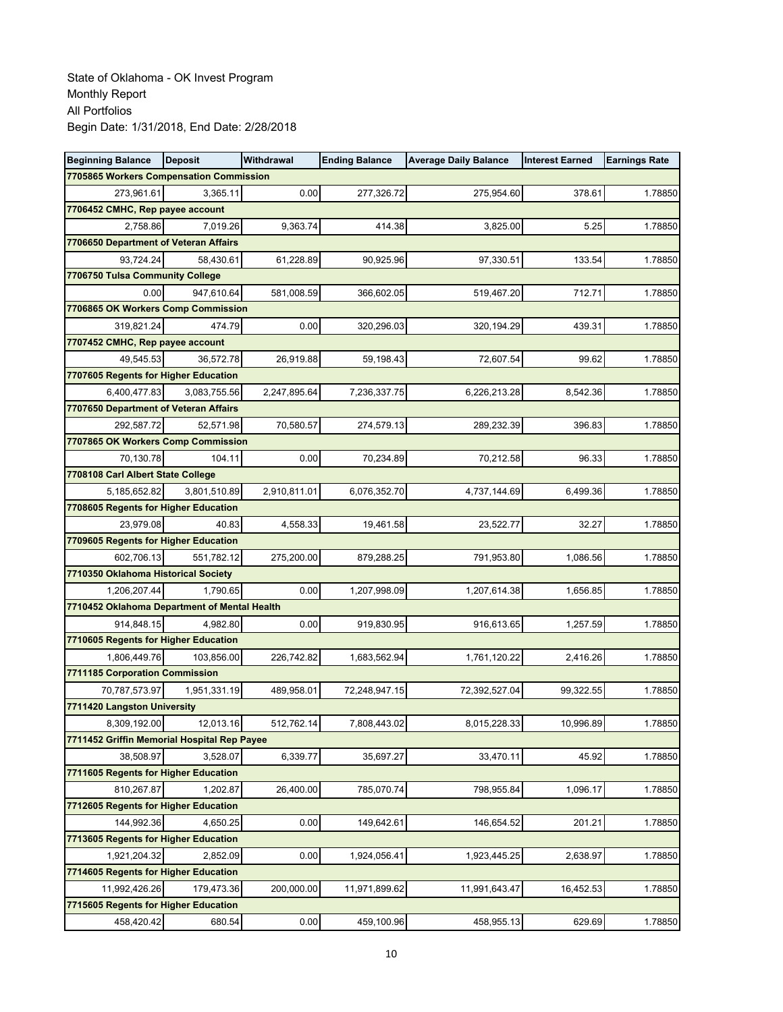| <b>Beginning Balance</b>                          | <b>Deposit</b> | Withdrawal   | <b>Ending Balance</b> | <b>Average Daily Balance</b> | <b>Interest Earned</b> | <b>Earnings Rate</b> |
|---------------------------------------------------|----------------|--------------|-----------------------|------------------------------|------------------------|----------------------|
| 7705865 Workers Compensation Commission           |                |              |                       |                              |                        |                      |
| 273,961.61                                        | 3,365.11       | 0.00         | 277,326.72            | 275,954.60                   | 378.61                 | 1.78850              |
| 7706452 CMHC, Rep payee account                   |                |              |                       |                              |                        |                      |
| 2,758.86                                          | 7,019.26       | 9,363.74     | 414.38                | 3,825.00                     | 5.25                   | 1.78850              |
| 7706650 Department of Veteran Affairs             |                |              |                       |                              |                        |                      |
| 93,724.24                                         | 58,430.61      | 61,228.89    | 90,925.96             | 97,330.51                    | 133.54                 | 1.78850              |
| 7706750 Tulsa Community College                   |                |              |                       |                              |                        |                      |
| 0.00                                              | 947,610.64     | 581,008.59   | 366,602.05            | 519,467.20                   | 712.71                 | 1.78850              |
| 7706865 OK Workers Comp Commission                |                |              |                       |                              |                        |                      |
| 319,821.24                                        | 474.79         | 0.00         | 320,296.03            | 320,194.29                   | 439.31                 | 1.78850              |
| 7707452 CMHC, Rep payee account                   |                |              |                       |                              |                        |                      |
| 49,545.53                                         | 36,572.78      | 26,919.88    | 59,198.43             | 72,607.54                    | 99.62                  | 1.78850              |
| 7707605 Regents for Higher Education              |                |              |                       |                              |                        |                      |
| 6,400,477.83                                      | 3,083,755.56   | 2,247,895.64 | 7,236,337.75          | 6,226,213.28                 | 8,542.36               | 1.78850              |
| 7707650 Department of Veteran Affairs             |                |              |                       |                              |                        |                      |
| 292,587.72                                        | 52,571.98      | 70,580.57    | 274,579.13            | 289,232.39                   | 396.83                 | 1.78850              |
| 7707865 OK Workers Comp Commission                |                |              |                       |                              |                        |                      |
| 70,130.78                                         | 104.11         | 0.00         | 70,234.89             | 70,212.58                    | 96.33                  | 1.78850              |
| 7708108 Carl Albert State College                 |                |              |                       |                              |                        |                      |
| 5,185,652.82                                      | 3,801,510.89   | 2,910,811.01 | 6,076,352.70          | 4,737,144.69                 | 6,499.36               | 1.78850              |
| 7708605 Regents for Higher Education              |                |              |                       |                              |                        |                      |
| 23,979.08                                         | 40.83          | 4,558.33     | 19,461.58             | 23,522.77                    | 32.27                  | 1.78850              |
| 7709605 Regents for Higher Education              |                |              |                       |                              |                        |                      |
| 602,706.13<br>7710350 Oklahoma Historical Society | 551,782.12     | 275,200.00   | 879,288.25            | 791,953.80                   | 1,086.56               | 1.78850              |
| 1,206,207.44                                      | 1,790.65       | 0.00         | 1,207,998.09          | 1,207,614.38                 | 1,656.85               | 1.78850              |
| 7710452 Oklahoma Department of Mental Health      |                |              |                       |                              |                        |                      |
| 914,848.15                                        | 4,982.80       | 0.00         | 919,830.95            | 916,613.65                   | 1,257.59               | 1.78850              |
| 7710605 Regents for Higher Education              |                |              |                       |                              |                        |                      |
| 1,806,449.76                                      | 103,856.00     | 226,742.82   | 1,683,562.94          | 1,761,120.22                 | 2,416.26               | 1.78850              |
| 7711185 Corporation Commission                    |                |              |                       |                              |                        |                      |
| 70,787,573.97                                     | 1,951,331.19   | 489,958.01   | 72,248,947.15         | 72,392,527.04                | 99,322.55              | 1.78850              |
| 7711420 Langston University                       |                |              |                       |                              |                        |                      |
| 8,309,192.00                                      | 12,013.16      | 512,762.14   | 7,808,443.02          | 8,015,228.33                 | 10,996.89              | 1.78850              |
| 7711452 Griffin Memorial Hospital Rep Payee       |                |              |                       |                              |                        |                      |
| 38,508.97                                         | 3,528.07       | 6,339.77     | 35,697.27             | 33,470.11                    | 45.92                  | 1.78850              |
| 7711605 Regents for Higher Education              |                |              |                       |                              |                        |                      |
| 810,267.87                                        | 1,202.87       | 26,400.00    | 785,070.74            | 798,955.84                   | 1,096.17               | 1.78850              |
| 7712605 Regents for Higher Education              |                |              |                       |                              |                        |                      |
| 144,992.36                                        | 4,650.25       | 0.00         | 149,642.61            | 146,654.52                   | 201.21                 | 1.78850              |
| 7713605 Regents for Higher Education              |                |              |                       |                              |                        |                      |
| 1,921,204.32                                      | 2.852.09       | 0.00         | 1,924,056.41          | 1,923,445.25                 | 2,638.97               | 1.78850              |
| 7714605 Regents for Higher Education              |                |              |                       |                              |                        |                      |
| 11,992,426.26                                     | 179,473.36     | 200,000.00   | 11,971,899.62         | 11,991,643.47                | 16,452.53              | 1.78850              |
| 7715605 Regents for Higher Education              |                |              |                       |                              |                        |                      |
| 458,420.42                                        | 680.54         | 0.00         | 459,100.96            | 458,955.13                   | 629.69                 | 1.78850              |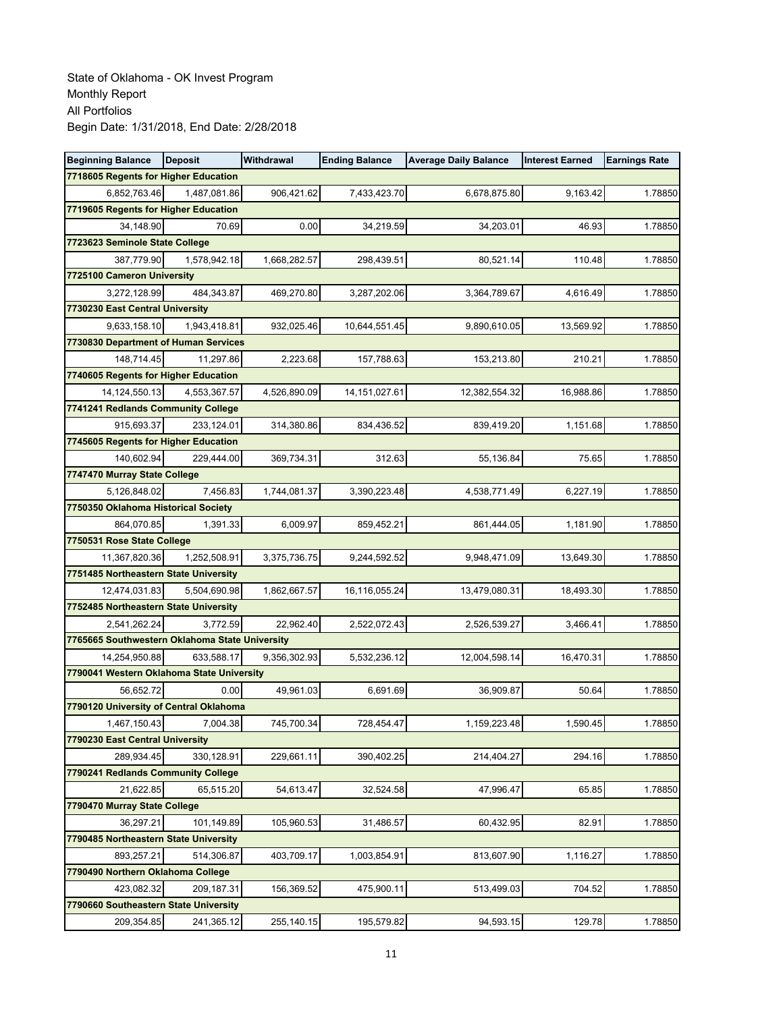| <b>Beginning Balance</b>                       | <b>Deposit</b> | Withdrawal   | <b>Ending Balance</b> | <b>Average Daily Balance</b> | <b>Interest Earned</b> | <b>Earnings Rate</b> |
|------------------------------------------------|----------------|--------------|-----------------------|------------------------------|------------------------|----------------------|
| 7718605 Regents for Higher Education           |                |              |                       |                              |                        |                      |
| 6,852,763.46                                   | 1,487,081.86   | 906,421.62   | 7,433,423.70          | 6,678,875.80                 | 9,163.42               | 1.78850              |
| 7719605 Regents for Higher Education           |                |              |                       |                              |                        |                      |
| 34.148.90                                      | 70.69          | 0.00         | 34,219.59             | 34,203.01                    | 46.93                  | 1.78850              |
| 7723623 Seminole State College                 |                |              |                       |                              |                        |                      |
| 387,779.90                                     | 1,578,942.18   | 1,668,282.57 | 298,439.51            | 80,521.14                    | 110.48                 | 1.78850              |
| 7725100 Cameron University                     |                |              |                       |                              |                        |                      |
| 3,272,128.99                                   | 484,343.87     | 469,270.80   | 3,287,202.06          | 3,364,789.67                 | 4,616.49               | 1.78850              |
| 7730230 East Central University                |                |              |                       |                              |                        |                      |
| 9,633,158.10                                   | 1,943,418.81   | 932,025.46   | 10,644,551.45         | 9,890,610.05                 | 13,569.92              | 1.78850              |
| 7730830 Department of Human Services           |                |              |                       |                              |                        |                      |
| 148,714.45                                     | 11,297.86      | 2,223.68     | 157,788.63            | 153,213.80                   | 210.21                 | 1.78850              |
| 7740605 Regents for Higher Education           |                |              |                       |                              |                        |                      |
| 14,124,550.13                                  | 4,553,367.57   | 4,526,890.09 | 14, 151, 027.61       | 12,382,554.32                | 16,988.86              | 1.78850              |
| 7741241 Redlands Community College             |                |              |                       |                              |                        |                      |
| 915.693.37                                     | 233,124.01     | 314,380.86   | 834,436.52            | 839,419.20                   | 1,151.68               | 1.78850              |
| 7745605 Regents for Higher Education           |                |              |                       |                              |                        |                      |
| 140,602.94                                     | 229,444.00     | 369,734.31   | 312.63                | 55,136.84                    | 75.65                  | 1.78850              |
| 7747470 Murray State College                   |                |              |                       |                              |                        |                      |
| 5,126,848.02                                   | 7,456.83       | 1,744,081.37 | 3,390,223.48          | 4,538,771.49                 | 6,227.19               | 1.78850              |
| 7750350 Oklahoma Historical Society            |                |              |                       |                              |                        |                      |
| 864,070.85                                     | 1,391.33       | 6,009.97     | 859,452.21            | 861,444.05                   | 1,181.90               | 1.78850              |
| 7750531 Rose State College                     |                |              |                       |                              |                        |                      |
| 11,367,820.36                                  | 1,252,508.91   | 3,375,736.75 | 9,244,592.52          | 9,948,471.09                 | 13,649.30              | 1.78850              |
| 7751485 Northeastern State University          |                |              |                       |                              |                        |                      |
| 12,474,031.83                                  | 5,504,690.98   | 1,862,667.57 | 16,116,055.24         | 13,479,080.31                | 18,493.30              | 1.78850              |
| 7752485 Northeastern State University          |                |              |                       |                              |                        |                      |
| 2,541,262.24                                   | 3,772.59       | 22,962.40    | 2,522,072.43          | 2,526,539.27                 | 3,466.41               | 1.78850              |
| 7765665 Southwestern Oklahoma State University |                |              |                       |                              |                        |                      |
| 14,254,950.88                                  | 633.588.17     | 9,356,302.93 | 5,532,236.12          | 12,004,598.14                | 16,470.31              | 1.78850              |
| 7790041 Western Oklahoma State University      |                |              |                       |                              |                        |                      |
| 56,652.72                                      | 0.00           | 49,961.03    | 6,691.69              | 36,909.87                    | 50.64                  | 1.78850              |
| 7790120 University of Central Oklahoma         |                |              |                       |                              |                        |                      |
| 1,467,150.43                                   | 7,004.38       | 745,700.34   | 728,454.47            | 1,159,223.48                 | 1,590.45               | 1.78850              |
| 7790230 East Central University                |                |              |                       |                              |                        |                      |
| 289,934.45                                     | 330,128.91     | 229,661.11   | 390,402.25            | 214,404.27                   | 294.16                 | 1.78850              |
| 7790241 Redlands Community College             |                |              |                       |                              |                        |                      |
| 21,622.85                                      | 65,515.20      | 54,613.47    | 32,524.58             | 47,996.47                    | 65.85                  | 1.78850              |
| 7790470 Murray State College                   |                |              |                       |                              |                        |                      |
| 36,297.21                                      | 101,149.89     | 105,960.53   | 31,486.57             | 60,432.95                    | 82.91                  | 1.78850              |
| 7790485 Northeastern State University          |                |              |                       |                              |                        |                      |
| 893,257.21                                     | 514,306.87     | 403,709.17   | 1,003,854.91          | 813,607.90                   | 1,116.27               | 1.78850              |
| 7790490 Northern Oklahoma College              |                |              |                       |                              |                        |                      |
| 423,082.32                                     | 209,187.31     | 156,369.52   | 475,900.11            | 513,499.03                   | 704.52                 | 1.78850              |
| 7790660 Southeastern State University          |                |              |                       |                              |                        |                      |
| 209,354.85                                     | 241,365.12     | 255,140.15   | 195,579.82            | 94,593.15                    | 129.78                 | 1.78850              |